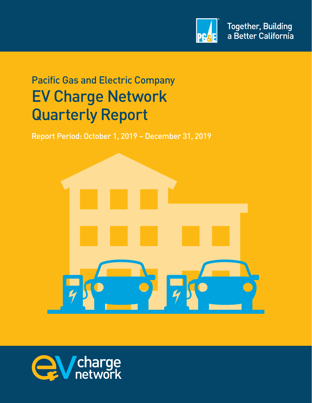

# Pacific Gas and Electric Company EV Charge Network Quarterly Report

Report Period: October 1, 2019 – December 31, 2019